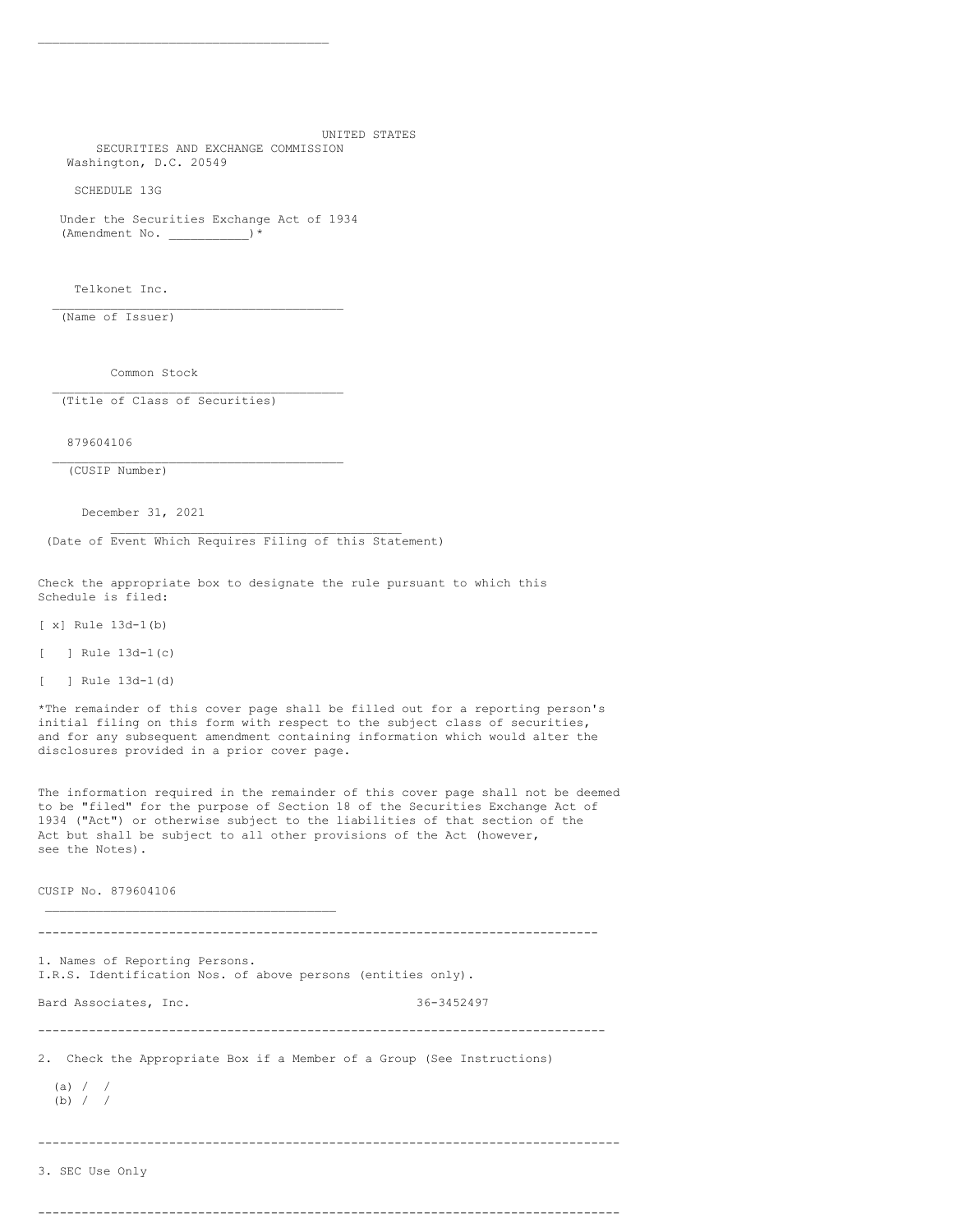UNITED STATES SECURITIES AND EXCHANGE COMMISSION Washington, D.C. 20549

SCHEDULE 13G

Under the Securities Exchange Act of 1934 (Amendment No. \_\_\_\_\_\_\_\_\_\_\_)\*

\_\_\_\_\_\_\_\_\_\_\_\_\_\_\_\_\_\_\_\_\_\_\_\_\_\_\_\_\_\_\_\_\_\_\_\_\_\_\_\_

\_\_\_\_\_\_\_\_\_\_\_\_\_\_\_\_\_\_\_\_\_\_\_\_\_\_\_\_\_\_\_\_\_\_\_\_\_\_\_\_

\_\_\_\_\_\_\_\_\_\_\_\_\_\_\_\_\_\_\_\_\_\_\_\_\_\_\_\_\_\_\_\_\_\_\_\_\_\_\_\_

Telkonet Inc.

(Name of Issuer)

Common Stock

(Title of Class of Securities)

879604106

\_\_\_\_\_\_\_\_\_\_\_\_\_\_\_\_\_\_\_\_\_\_\_\_\_\_\_\_\_\_\_\_\_\_\_\_\_\_\_\_ (CUSIP Number)

\_\_\_\_\_\_\_\_\_\_\_\_\_\_\_\_\_\_\_\_\_\_\_\_\_\_\_\_\_\_\_\_\_\_\_\_\_\_\_\_

December 31, 2021

(Date of Event Which Requires Filing of this Statement)

\_\_\_\_\_\_\_\_\_\_\_\_\_\_\_\_\_\_\_\_\_\_\_\_\_\_\_\_\_\_\_\_\_\_\_\_\_\_\_\_

Check the appropriate box to designate the rule pursuant to which this Schedule is filed:

[ x] Rule 13d-1(b)

[ ] Rule  $13d-1(c)$ 

[ ] Rule 13d-1(d)

\*The remainder of this cover page shall be filled out for a reporting person's initial filing on this form with respect to the subject class of securities, and for any subsequent amendment containing information which would alter the disclosures provided in a prior cover page.

The information required in the remainder of this cover page shall not be deemed to be "filed" for the purpose of Section 18 of the Securities Exchange Act of 1934 ("Act") or otherwise subject to the liabilities of that section of the Act but shall be subject to all other provisions of the Act (however, see the Notes).

CUSIP No. 879604106

----------------------------------------------------------------------------- 1. Names of Reporting Persons. I.R.S. Identification Nos. of above persons (entities only). Bard Associates, Inc. 36-3452497 ------------------------------------------------------------------------------ 2. Check the Appropriate Box if a Member of a Group (See Instructions) (a) / / (b)  $/ /$ -------------------------------------------------------------------------------- 3. SEC Use Only

--------------------------------------------------------------------------------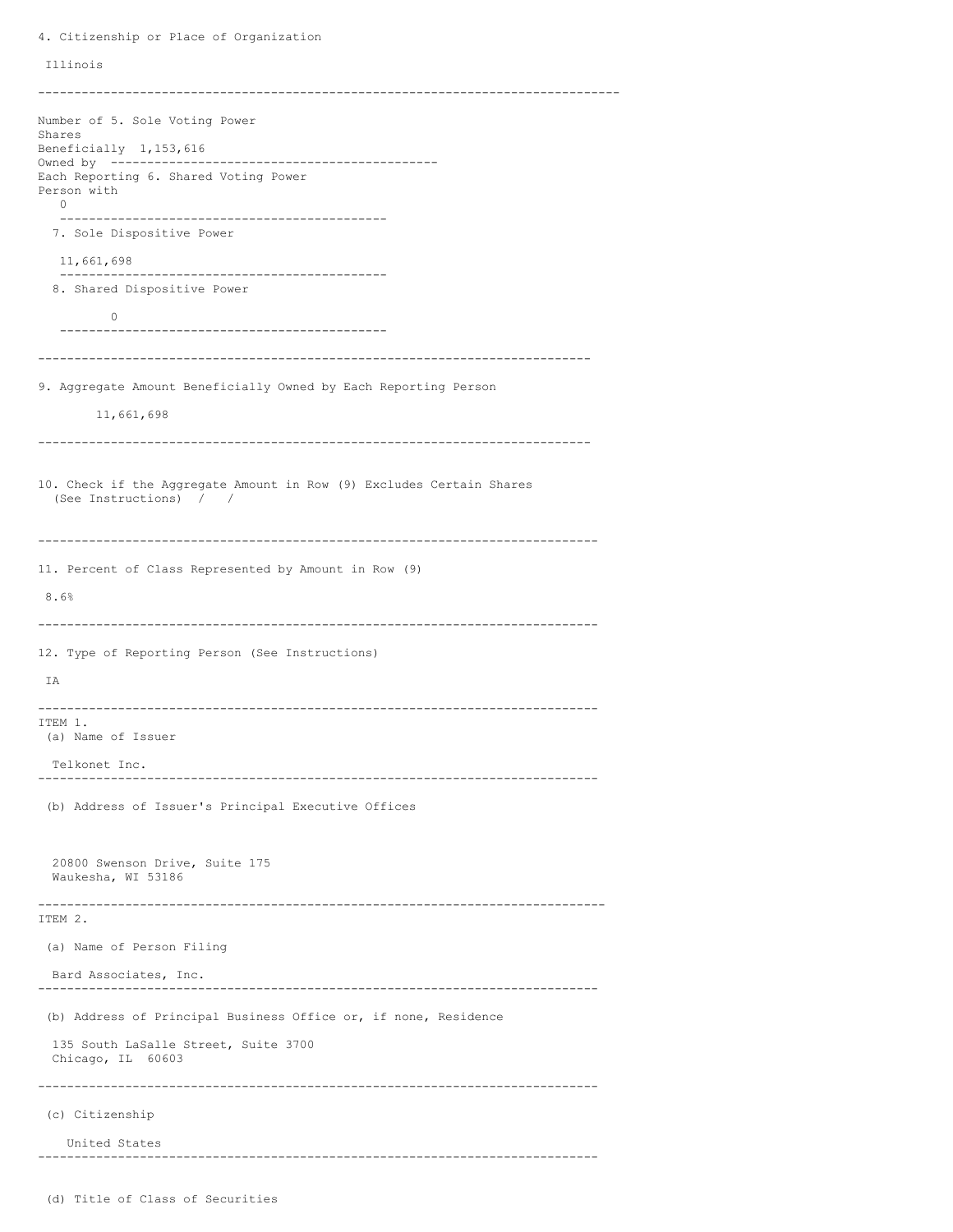Illinois -------------------------------------------------------------------------------- Number of 5. Sole Voting Power Shares Beneficially 1,153,616 Owned by --------------------------------------------- Each Reporting 6. Shared Voting Power Person with  $\Omega$ --------------------------------------------- 7. Sole Dispositive Power 11,661,698 --------------------------------------------- 8. Shared Dispositive Power  $\bigcirc$ --------------------------------------------- ---------------------------------------------------------------------------- 9. Aggregate Amount Beneficially Owned by Each Reporting Person 11,661,698 ---------------------------------------------------------------------------- 10. Check if the Aggregate Amount in Row (9) Excludes Certain Shares (See Instructions) / / ----------------------------------------------------------------------------- 11. Percent of Class Represented by Amount in Row (9) 8.6% ----------------------------------------------------------------------------- 12. Type of Reporting Person (See Instructions) IA ----------------------------------------------------------------------------- ITEM 1. (a) Name of Issuer Telkonet Inc. ----------------------------------------------------------------------------- (b) Address of Issuer's Principal Executive Offices 20800 Swenson Drive, Suite 175 Waukesha, WI 53186 ------------------------------------------------------------------------------ ITEM 2. (a) Name of Person Filing Bard Associates, Inc. ----------------------------------------------------------------------------- (b) Address of Principal Business Office or, if none, Residence 135 South LaSalle Street, Suite 3700 Chicago, IL 60603 ----------------------------------------------------------------------------- (c) Citizenship United States -----------------------------------------------------------------------------

4. Citizenship or Place of Organization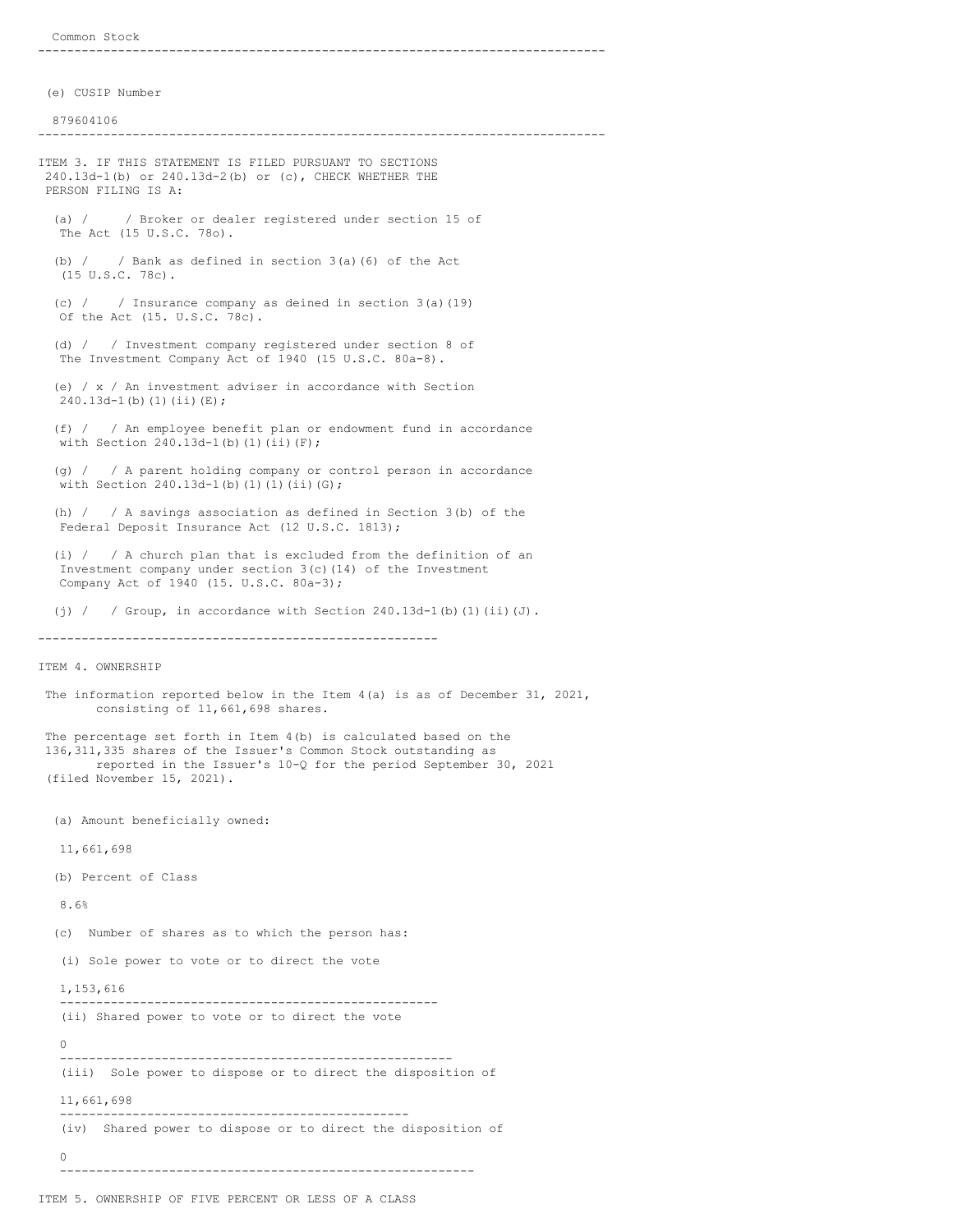------------------------------------------------------------------------------

(e) CUSIP Number

879604106

------------------------------------------------------------------------------

ITEM 3. IF THIS STATEMENT IS FILED PURSUANT TO SECTIONS 240.13d-1(b) or 240.13d-2(b) or (c), CHECK WHETHER THE PERSON FILING IS A:

(a) / / Broker or dealer registered under section 15 of The Act (15 U.S.C. 78o).

(b)  $/$  / Bank as defined in section 3(a)(6) of the Act (15 U.S.C. 78c).

(c) / / Insurance company as deined in section 3(a)(19) Of the Act (15. U.S.C. 78c).

(d) / / Investment company registered under section 8 of The Investment Company Act of 1940 (15 U.S.C. 80a-8).

(e) / x / An investment adviser in accordance with Section 240.13d-1(b)(1)(ii)(E);

(f) / / An employee benefit plan or endowment fund in accordance with Section 240.13d-1(b)(1)(ii)(F);

(g) / / A parent holding company or control person in accordance with Section  $240.13d-1$ (b)(1)(1)(ii)(G);

(h) / / A savings association as defined in Section 3(b) of the Federal Deposit Insurance Act (12 U.S.C. 1813);

(i) / / A church plan that is excluded from the definition of an Investment company under section 3(c)(14) of the Investment Company Act of 1940 (15. U.S.C. 80a-3);

(i) / / Group, in accordance with Section  $240.13d-1$  (b) (1) (ii)(J).

-------------------------------------------------------

ITEM 4. OWNERSHIP

The information reported below in the Item 4(a) is as of December 31, 2021, consisting of 11,661,698 shares.

The percentage set forth in Item 4(b) is calculated based on the 136,311,335 shares of the Issuer's Common Stock outstanding as reported in the Issuer's 10-Q for the period September 30, 2021 (filed November 15, 2021).

(a) Amount beneficially owned:

11,661,698

(b) Percent of Class

8.6%

(c) Number of shares as to which the person has:

(i) Sole power to vote or to direct the vote

1,153,616

---------------------------------------------------- (ii) Shared power to vote or to direct the vote

 $\Omega$ ------------------------------------------------------ (iii) Sole power to dispose or to direct the disposition of 11,661,698 ------------------------------------------------ (iv) Shared power to dispose or to direct the disposition of

 $\Omega$ ---------------------------------------------------------